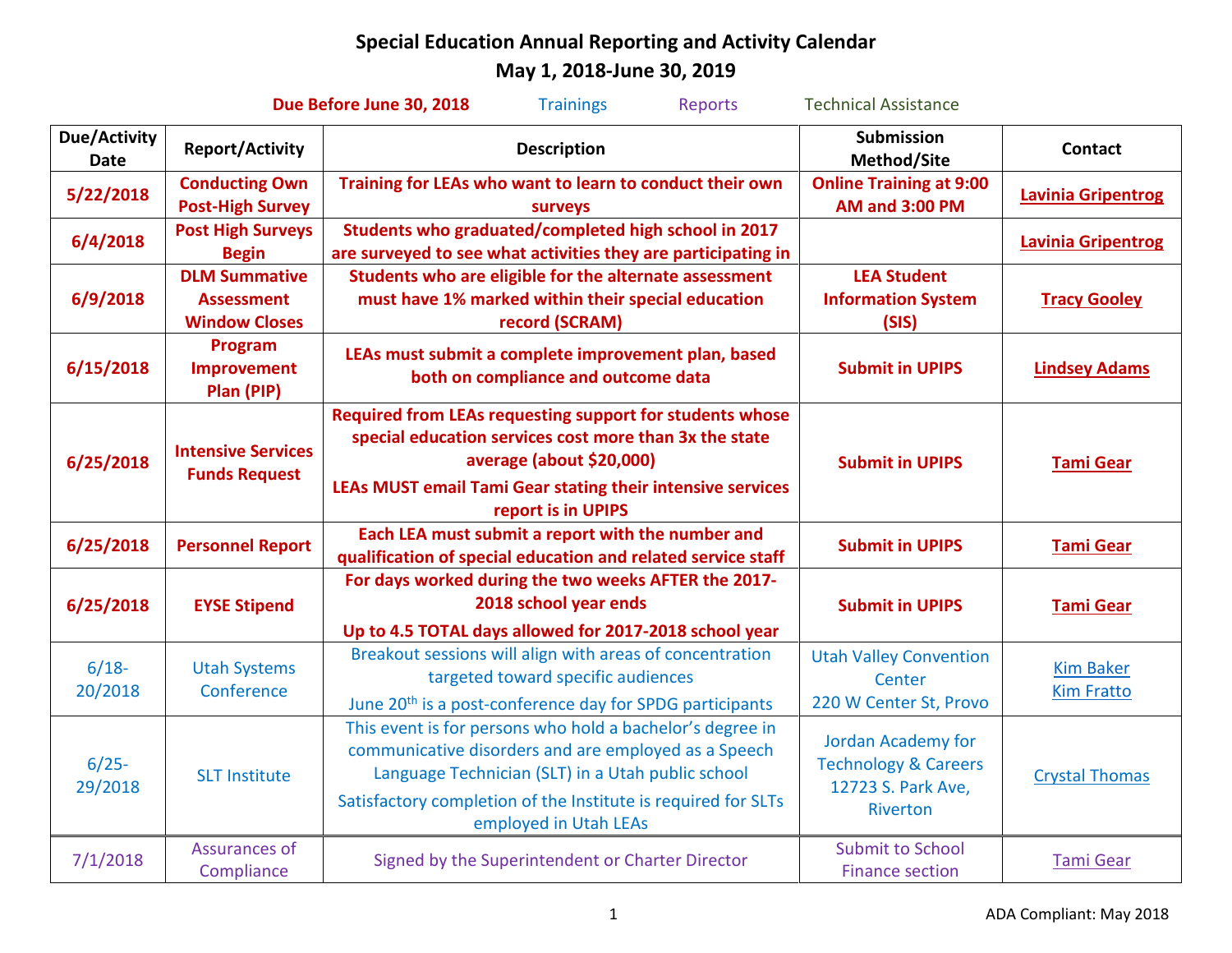|                                    |                                                                   | Due Before June 30, 2018<br><b>Trainings</b><br><b>Reports</b>                                                                                                                                                                                                   | <b>Technical Assistance</b>                                                             |                                       |
|------------------------------------|-------------------------------------------------------------------|------------------------------------------------------------------------------------------------------------------------------------------------------------------------------------------------------------------------------------------------------------------|-----------------------------------------------------------------------------------------|---------------------------------------|
| <b>Due/Activity</b><br><b>Date</b> | <b>Report/Activity</b>                                            | <b>Description</b>                                                                                                                                                                                                                                               | Submission<br>Method/Site                                                               | <b>Contact</b>                        |
| 5/22/2018                          | <b>Conducting Own</b><br><b>Post-High Survey</b>                  | Training for LEAs who want to learn to conduct their own<br>surveys                                                                                                                                                                                              | <b>Online Training at 9:00</b><br><b>AM and 3:00 PM</b>                                 | <b>Lavinia Gripentrog</b>             |
| 6/4/2018                           | <b>Post High Surveys</b><br><b>Begin</b>                          | Students who graduated/completed high school in 2017<br>are surveyed to see what activities they are participating in                                                                                                                                            |                                                                                         | <b>Lavinia Gripentrog</b>             |
| 6/9/2018                           | <b>DLM Summative</b><br><b>Assessment</b><br><b>Window Closes</b> | Students who are eligible for the alternate assessment<br>must have 1% marked within their special education<br>record (SCRAM)                                                                                                                                   | <b>LEA Student</b><br><b>Information System</b><br>(SIS)                                | <b>Tracy Gooley</b>                   |
| 6/15/2018                          | Program<br>Improvement<br>Plan (PIP)                              | LEAs must submit a complete improvement plan, based<br>both on compliance and outcome data                                                                                                                                                                       | <b>Submit in UPIPS</b>                                                                  | <b>Lindsey Adams</b>                  |
| 6/25/2018                          | <b>Intensive Services</b><br><b>Funds Request</b>                 | Required from LEAs requesting support for students whose<br>special education services cost more than 3x the state<br>average (about \$20,000)<br>LEAs MUST email Tami Gear stating their intensive services<br>report is in UPIPS                               | <b>Submit in UPIPS</b>                                                                  | <b>Tami Gear</b>                      |
| 6/25/2018                          | <b>Personnel Report</b>                                           | Each LEA must submit a report with the number and<br>qualification of special education and related service staff                                                                                                                                                | <b>Submit in UPIPS</b>                                                                  | <b>Tami Gear</b>                      |
| 6/25/2018                          | <b>EYSE Stipend</b>                                               | For days worked during the two weeks AFTER the 2017-<br>2018 school year ends<br>Up to 4.5 TOTAL days allowed for 2017-2018 school year                                                                                                                          | <b>Submit in UPIPS</b>                                                                  | <b>Tami Gear</b>                      |
| $6/18-$<br>20/2018                 | <b>Utah Systems</b><br>Conference                                 | Breakout sessions will align with areas of concentration<br>targeted toward specific audiences<br>June 20 <sup>th</sup> is a post-conference day for SPDG participants                                                                                           | <b>Utah Valley Convention</b><br>Center<br>220 W Center St, Provo                       | <b>Kim Baker</b><br><b>Kim Fratto</b> |
| $6/25 -$<br>29/2018                | <b>SLT Institute</b>                                              | This event is for persons who hold a bachelor's degree in<br>communicative disorders and are employed as a Speech<br>Language Technician (SLT) in a Utah public school<br>Satisfactory completion of the Institute is required for SLTs<br>employed in Utah LEAs | Jordan Academy for<br><b>Technology &amp; Careers</b><br>12723 S. Park Ave,<br>Riverton | <b>Crystal Thomas</b>                 |
| 7/1/2018                           | Assurances of<br>Compliance                                       | <b>Submit to School</b><br>Signed by the Superintendent or Charter Director<br><b>Finance section</b>                                                                                                                                                            |                                                                                         | <b>Tami Gear</b>                      |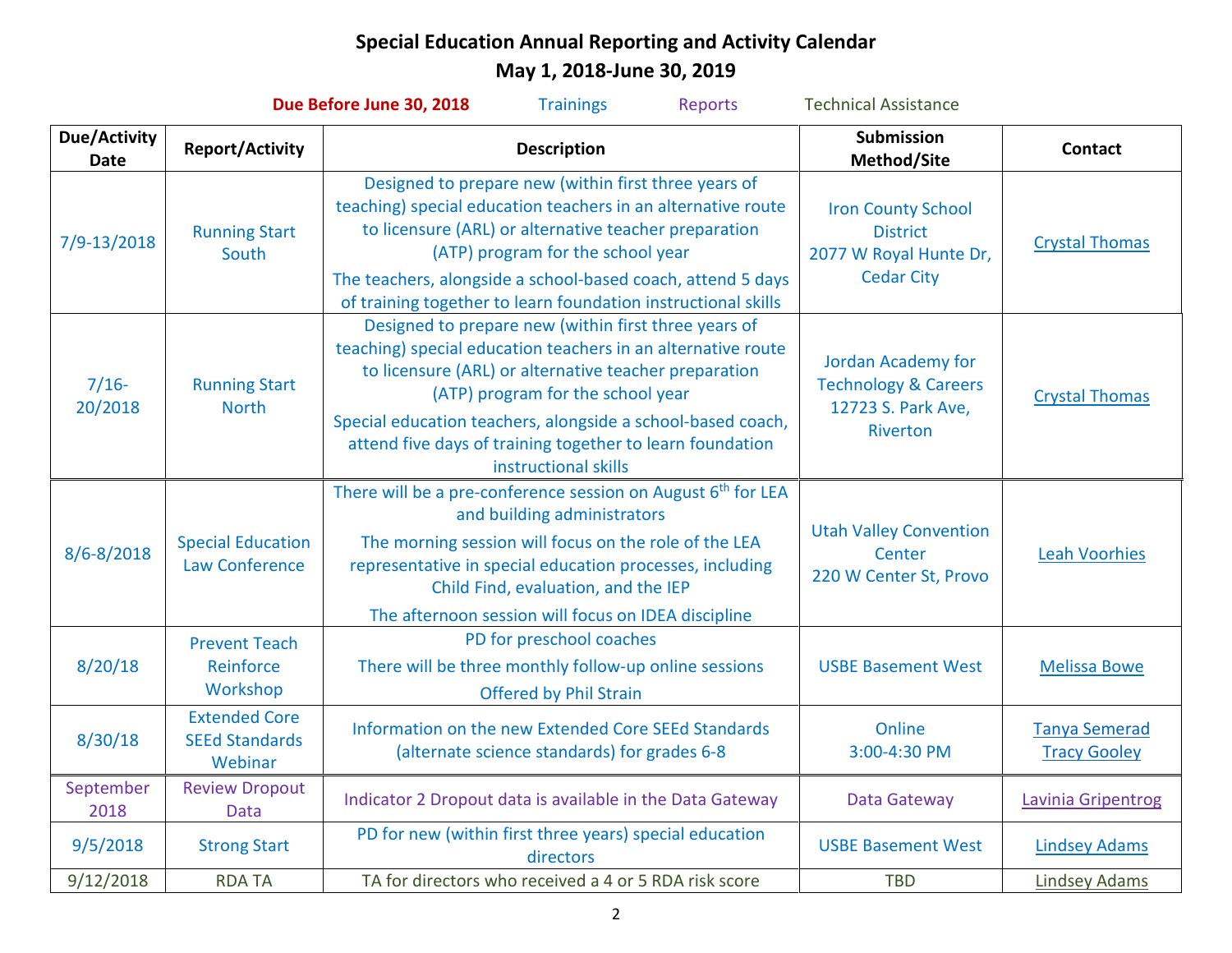| Due Before June 30, 2018<br><b>Technical Assistance</b><br><b>Trainings</b><br><b>Reports</b> |                                                                                             |                                                                                                                                                                                                                                                                                                                                                                        |                                                                                             |                                             |  |  |
|-----------------------------------------------------------------------------------------------|---------------------------------------------------------------------------------------------|------------------------------------------------------------------------------------------------------------------------------------------------------------------------------------------------------------------------------------------------------------------------------------------------------------------------------------------------------------------------|---------------------------------------------------------------------------------------------|---------------------------------------------|--|--|
| <b>Due/Activity</b><br><b>Date</b>                                                            | <b>Report/Activity</b>                                                                      | <b>Description</b>                                                                                                                                                                                                                                                                                                                                                     | Submission<br>Method/Site                                                                   | <b>Contact</b>                              |  |  |
| 7/9-13/2018                                                                                   | <b>Running Start</b><br>South                                                               | Designed to prepare new (within first three years of<br>teaching) special education teachers in an alternative route<br>to licensure (ARL) or alternative teacher preparation<br>(ATP) program for the school year<br>The teachers, alongside a school-based coach, attend 5 days<br>of training together to learn foundation instructional skills                     | <b>Iron County School</b><br><b>District</b><br>2077 W Royal Hunte Dr,<br><b>Cedar City</b> | <b>Crystal Thomas</b>                       |  |  |
| $7/16-$<br>20/2018                                                                            | <b>Running Start</b><br><b>North</b>                                                        | Designed to prepare new (within first three years of<br>teaching) special education teachers in an alternative route<br>to licensure (ARL) or alternative teacher preparation<br>(ATP) program for the school year<br>Special education teachers, alongside a school-based coach,<br>attend five days of training together to learn foundation<br>instructional skills | Jordan Academy for<br><b>Technology &amp; Careers</b><br>12723 S. Park Ave,<br>Riverton     | <b>Crystal Thomas</b>                       |  |  |
| 8/6-8/2018                                                                                    | <b>Special Education</b><br><b>Law Conference</b>                                           | There will be a pre-conference session on August 6 <sup>th</sup> for LEA<br>and building administrators<br>The morning session will focus on the role of the LEA<br>representative in special education processes, including<br>Child Find, evaluation, and the IEP<br>The afternoon session will focus on IDEA discipline                                             | <b>Utah Valley Convention</b><br>Center<br>220 W Center St, Provo                           | <b>Leah Voorhies</b>                        |  |  |
| 8/20/18                                                                                       | <b>Prevent Teach</b><br>Reinforce<br>Workshop                                               | PD for preschool coaches<br>There will be three monthly follow-up online sessions<br>Offered by Phil Strain                                                                                                                                                                                                                                                            | <b>USBE Basement West</b>                                                                   | <b>Melissa Bowe</b>                         |  |  |
| 8/30/18                                                                                       | <b>Extended Core</b><br><b>SEEd Standards</b><br>Webinar                                    | Information on the new Extended Core SEEd Standards<br>(alternate science standards) for grades 6-8                                                                                                                                                                                                                                                                    | Online<br>3:00-4:30 PM                                                                      | <b>Tanya Semerad</b><br><b>Tracy Gooley</b> |  |  |
| September<br>2018                                                                             | <b>Review Dropout</b><br><b>Data</b>                                                        | Indicator 2 Dropout data is available in the Data Gateway                                                                                                                                                                                                                                                                                                              | Data Gateway                                                                                | Lavinia Gripentrog                          |  |  |
| 9/5/2018                                                                                      | PD for new (within first three years) special education<br><b>Strong Start</b><br>directors |                                                                                                                                                                                                                                                                                                                                                                        | <b>USBE Basement West</b>                                                                   | <b>Lindsey Adams</b>                        |  |  |
| 9/12/2018                                                                                     | <b>RDATA</b>                                                                                | TA for directors who received a 4 or 5 RDA risk score                                                                                                                                                                                                                                                                                                                  | <b>TBD</b>                                                                                  | <b>Lindsey Adams</b>                        |  |  |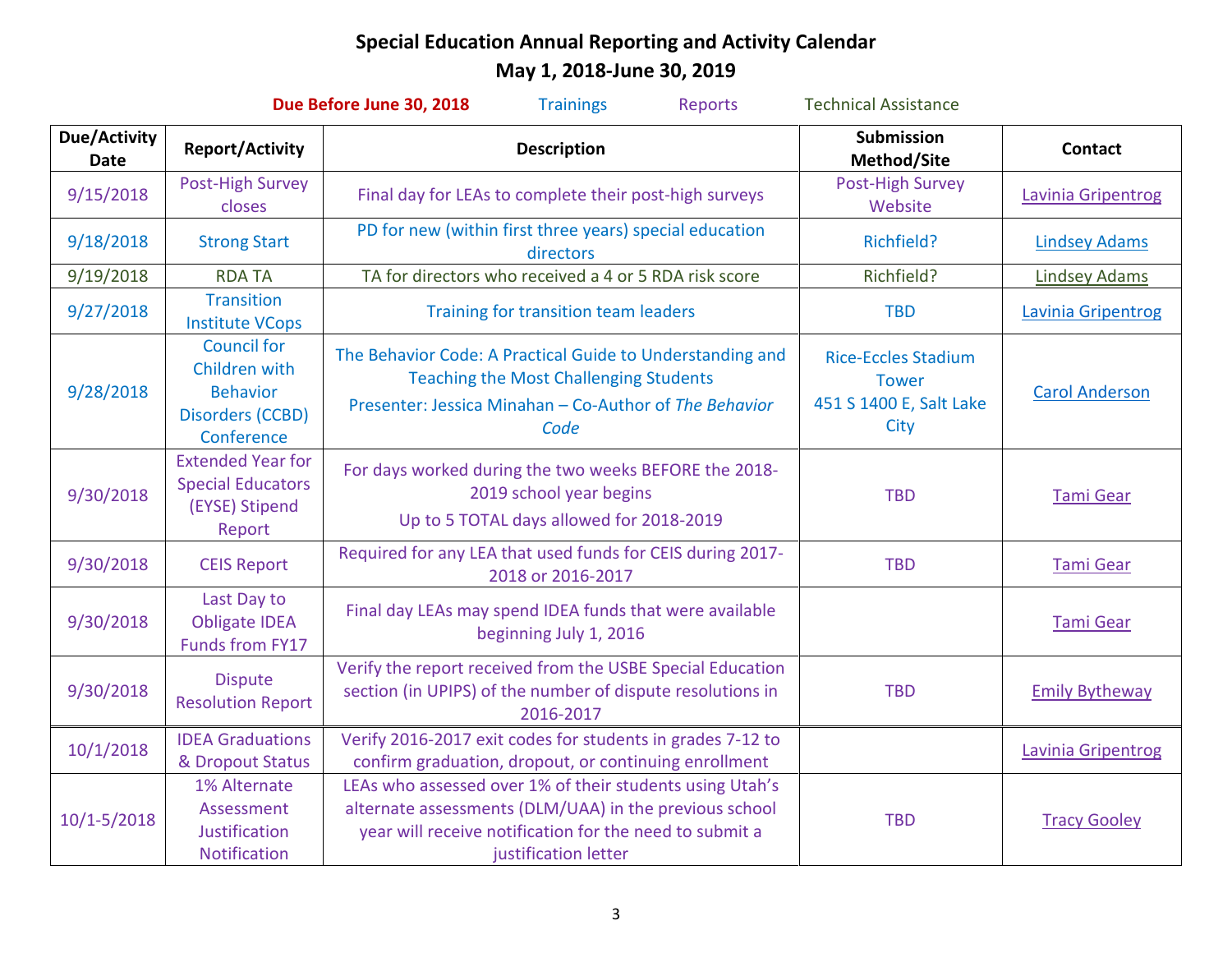| Due Before June 30, 2018<br><b>Technical Assistance</b><br><b>Trainings</b><br>Reports |                                                                                                                                                                                                                                                                      |                                                                                                                                                                              |                                                                               |                           |  |  |
|----------------------------------------------------------------------------------------|----------------------------------------------------------------------------------------------------------------------------------------------------------------------------------------------------------------------------------------------------------------------|------------------------------------------------------------------------------------------------------------------------------------------------------------------------------|-------------------------------------------------------------------------------|---------------------------|--|--|
| <b>Due/Activity</b><br><b>Date</b>                                                     | <b>Report/Activity</b>                                                                                                                                                                                                                                               | <b>Description</b>                                                                                                                                                           | <b>Submission</b><br>Method/Site                                              | <b>Contact</b>            |  |  |
| 9/15/2018                                                                              | Post-High Survey<br>closes                                                                                                                                                                                                                                           | Final day for LEAs to complete their post-high surveys                                                                                                                       | Post-High Survey<br>Website                                                   | Lavinia Gripentrog        |  |  |
| 9/18/2018                                                                              | <b>Strong Start</b>                                                                                                                                                                                                                                                  | PD for new (within first three years) special education<br>directors                                                                                                         | Richfield?                                                                    | <b>Lindsey Adams</b>      |  |  |
| 9/19/2018                                                                              | <b>RDA TA</b>                                                                                                                                                                                                                                                        | TA for directors who received a 4 or 5 RDA risk score                                                                                                                        | Richfield?                                                                    | <b>Lindsey Adams</b>      |  |  |
| 9/27/2018                                                                              | <b>Transition</b><br><b>Institute VCops</b>                                                                                                                                                                                                                          | Training for transition team leaders                                                                                                                                         | <b>TBD</b>                                                                    | <b>Lavinia Gripentrog</b> |  |  |
| 9/28/2018                                                                              | <b>Council for</b><br>Children with<br><b>Behavior</b><br><b>Disorders (CCBD)</b><br>Conference                                                                                                                                                                      | The Behavior Code: A Practical Guide to Understanding and<br><b>Teaching the Most Challenging Students</b><br>Presenter: Jessica Minahan - Co-Author of The Behavior<br>Code | <b>Rice-Eccles Stadium</b><br><b>Tower</b><br>451 S 1400 E, Salt Lake<br>City | <b>Carol Anderson</b>     |  |  |
| 9/30/2018                                                                              | <b>Extended Year for</b><br><b>Special Educators</b><br>(EYSE) Stipend<br>Report                                                                                                                                                                                     | For days worked during the two weeks BEFORE the 2018-<br>2019 school year begins<br>Up to 5 TOTAL days allowed for 2018-2019                                                 | <b>TBD</b>                                                                    | <b>Tami Gear</b>          |  |  |
| 9/30/2018                                                                              | <b>CEIS Report</b>                                                                                                                                                                                                                                                   | Required for any LEA that used funds for CEIS during 2017-<br>2018 or 2016-2017                                                                                              | <b>TBD</b>                                                                    | <b>Tami Gear</b>          |  |  |
| 9/30/2018                                                                              | Last Day to<br><b>Obligate IDEA</b><br><b>Funds from FY17</b>                                                                                                                                                                                                        | Final day LEAs may spend IDEA funds that were available<br>beginning July 1, 2016                                                                                            |                                                                               | <b>Tami Gear</b>          |  |  |
| 9/30/2018                                                                              | <b>Dispute</b><br><b>Resolution Report</b>                                                                                                                                                                                                                           | Verify the report received from the USBE Special Education<br>section (in UPIPS) of the number of dispute resolutions in<br>2016-2017                                        | <b>TBD</b>                                                                    | <b>Emily Bytheway</b>     |  |  |
| 10/1/2018                                                                              | <b>IDEA Graduations</b><br>& Dropout Status                                                                                                                                                                                                                          | Verify 2016-2017 exit codes for students in grades 7-12 to<br>confirm graduation, dropout, or continuing enrollment                                                          |                                                                               | Lavinia Gripentrog        |  |  |
| $10/1 - 5/2018$                                                                        | LEAs who assessed over 1% of their students using Utah's<br>1% Alternate<br>alternate assessments (DLM/UAA) in the previous school<br>Assessment<br>year will receive notification for the need to submit a<br>Justification<br>Notification<br>justification letter |                                                                                                                                                                              | <b>TBD</b>                                                                    | <b>Tracy Gooley</b>       |  |  |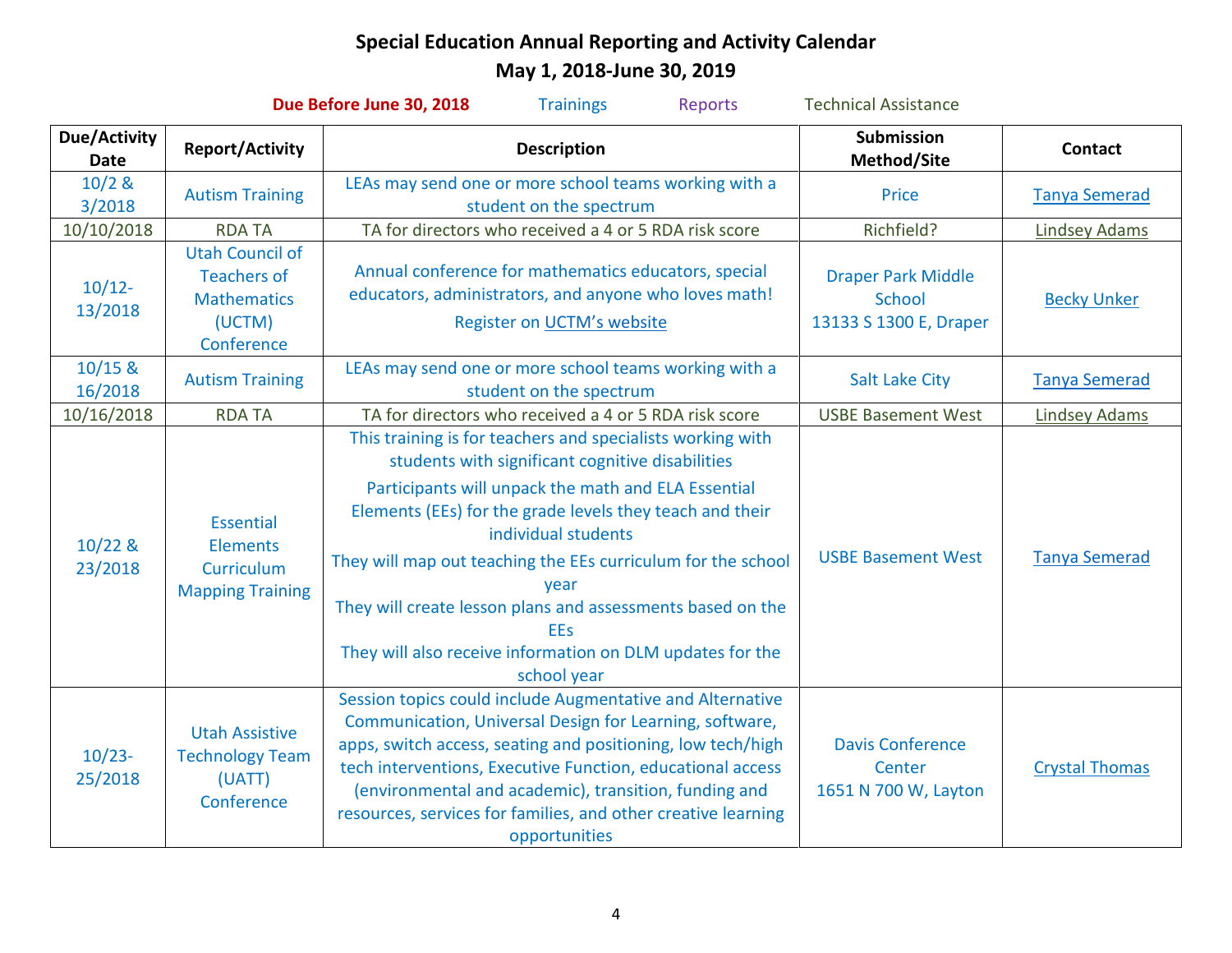| Due Before June 30, 2018<br><b>Technical Assistance</b><br><b>Trainings</b><br><b>Reports</b> |                                                                                            |                                                                                                                                                                                                                                                                                                                                                                                                                                                                                          |                                                               |                       |  |  |
|-----------------------------------------------------------------------------------------------|--------------------------------------------------------------------------------------------|------------------------------------------------------------------------------------------------------------------------------------------------------------------------------------------------------------------------------------------------------------------------------------------------------------------------------------------------------------------------------------------------------------------------------------------------------------------------------------------|---------------------------------------------------------------|-----------------------|--|--|
| Due/Activity<br><b>Date</b>                                                                   | <b>Report/Activity</b>                                                                     | <b>Description</b>                                                                                                                                                                                                                                                                                                                                                                                                                                                                       | <b>Submission</b><br>Method/Site                              | <b>Contact</b>        |  |  |
| $10/2$ &<br>3/2018                                                                            | <b>Autism Training</b>                                                                     | LEAs may send one or more school teams working with a<br>student on the spectrum                                                                                                                                                                                                                                                                                                                                                                                                         | <b>Price</b>                                                  | <b>Tanya Semerad</b>  |  |  |
| 10/10/2018                                                                                    | <b>RDA TA</b>                                                                              | TA for directors who received a 4 or 5 RDA risk score                                                                                                                                                                                                                                                                                                                                                                                                                                    | Richfield?                                                    | <b>Lindsey Adams</b>  |  |  |
| $10/12 -$<br>13/2018                                                                          | <b>Utah Council of</b><br><b>Teachers of</b><br><b>Mathematics</b><br>(UCTM)<br>Conference | Annual conference for mathematics educators, special<br>educators, administrators, and anyone who loves math!<br>Register on UCTM's website                                                                                                                                                                                                                                                                                                                                              | <b>Draper Park Middle</b><br>School<br>13133 S 1300 E, Draper | <b>Becky Unker</b>    |  |  |
| $10/15$ &<br>16/2018                                                                          | <b>Autism Training</b>                                                                     | LEAs may send one or more school teams working with a<br>student on the spectrum                                                                                                                                                                                                                                                                                                                                                                                                         | <b>Salt Lake City</b>                                         | <b>Tanya Semerad</b>  |  |  |
| 10/16/2018                                                                                    | <b>RDA TA</b>                                                                              | TA for directors who received a 4 or 5 RDA risk score                                                                                                                                                                                                                                                                                                                                                                                                                                    | <b>USBE Basement West</b>                                     | <b>Lindsey Adams</b>  |  |  |
| $10/22$ &<br>23/2018                                                                          | Essential<br><b>Elements</b><br>Curriculum<br><b>Mapping Training</b>                      | This training is for teachers and specialists working with<br>students with significant cognitive disabilities<br>Participants will unpack the math and ELA Essential<br>Elements (EEs) for the grade levels they teach and their<br>individual students<br>They will map out teaching the EEs curriculum for the school<br>year<br>They will create lesson plans and assessments based on the<br><b>EEs</b><br>They will also receive information on DLM updates for the<br>school year | <b>USBE Basement West</b>                                     | <b>Tanya Semerad</b>  |  |  |
| $10/23-$<br>25/2018                                                                           | <b>Utah Assistive</b><br><b>Technology Team</b><br>(UATT)<br>Conference                    | Session topics could include Augmentative and Alternative<br>Communication, Universal Design for Learning, software,<br>apps, switch access, seating and positioning, low tech/high<br>tech interventions, Executive Function, educational access<br>(environmental and academic), transition, funding and<br>resources, services for families, and other creative learning<br>opportunities                                                                                             | <b>Davis Conference</b><br>Center<br>1651 N 700 W, Layton     | <b>Crystal Thomas</b> |  |  |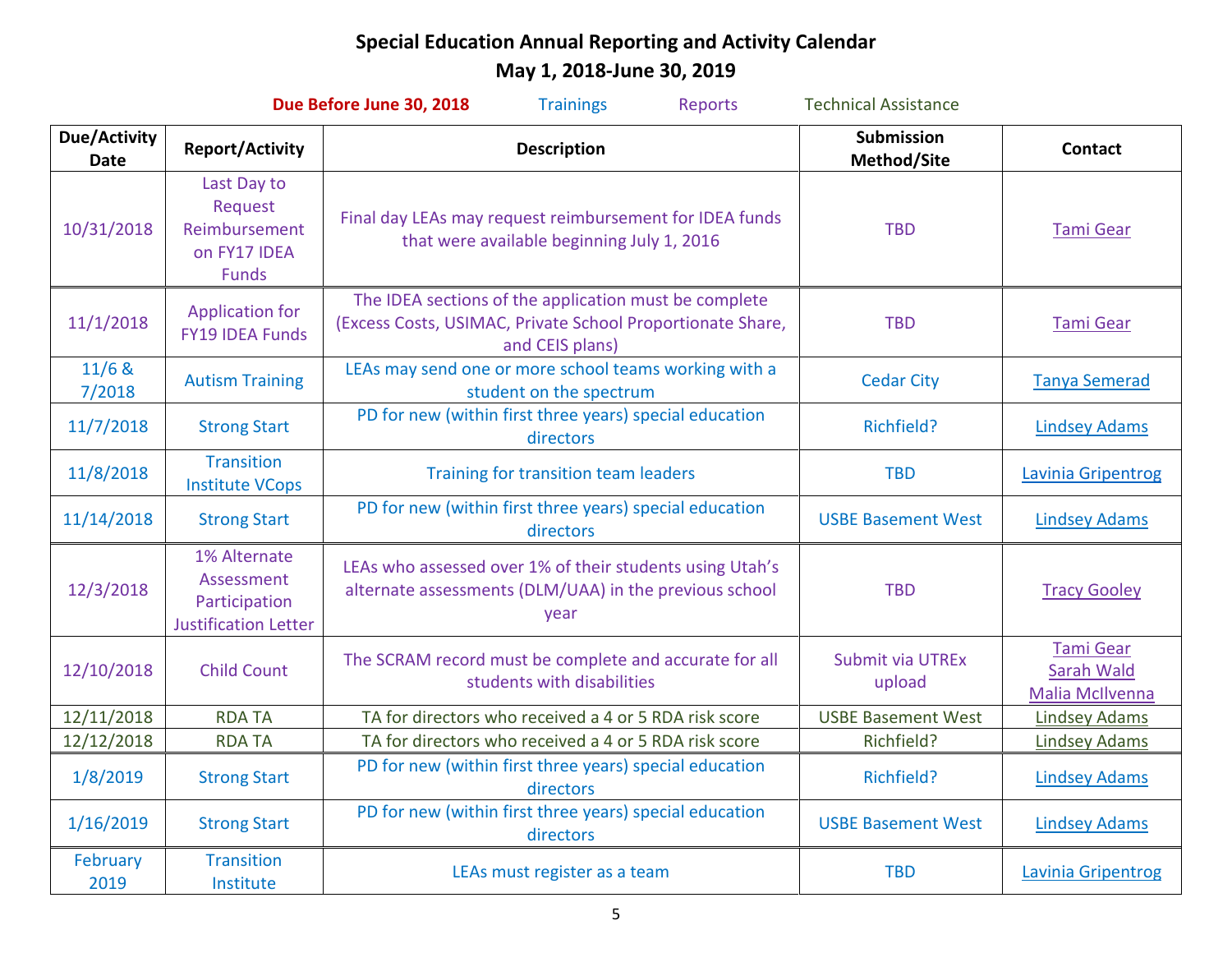| Due Before June 30, 2018<br><b>Reports</b><br><b>Technical Assistance</b><br><b>Trainings</b> |                                                                            |                                                                                                                                        |                                  |                                                   |  |  |
|-----------------------------------------------------------------------------------------------|----------------------------------------------------------------------------|----------------------------------------------------------------------------------------------------------------------------------------|----------------------------------|---------------------------------------------------|--|--|
| <b>Due/Activity</b><br><b>Date</b>                                                            | <b>Report/Activity</b><br><b>Description</b>                               |                                                                                                                                        | <b>Submission</b><br>Method/Site | <b>Contact</b>                                    |  |  |
| 10/31/2018                                                                                    | Last Day to<br>Request<br>Reimbursement<br>on FY17 IDEA<br><b>Funds</b>    | Final day LEAs may request reimbursement for IDEA funds<br>that were available beginning July 1, 2016                                  | <b>TBD</b>                       | <b>Tami Gear</b>                                  |  |  |
| 11/1/2018                                                                                     | <b>Application for</b><br><b>FY19 IDEA Funds</b>                           | The IDEA sections of the application must be complete<br>(Excess Costs, USIMAC, Private School Proportionate Share,<br>and CEIS plans) | <b>TBD</b>                       | <b>Tami Gear</b>                                  |  |  |
| 11/6 &<br>7/2018                                                                              | <b>Autism Training</b>                                                     | LEAs may send one or more school teams working with a<br>student on the spectrum                                                       | <b>Cedar City</b>                | <b>Tanya Semerad</b>                              |  |  |
| 11/7/2018                                                                                     | <b>Strong Start</b>                                                        | PD for new (within first three years) special education<br>directors                                                                   | Richfield?                       | <b>Lindsey Adams</b>                              |  |  |
| 11/8/2018                                                                                     | <b>Transition</b><br><b>Institute VCops</b>                                | Training for transition team leaders                                                                                                   | <b>TBD</b>                       | Lavinia Gripentrog                                |  |  |
| 11/14/2018                                                                                    | <b>Strong Start</b>                                                        | PD for new (within first three years) special education<br>directors                                                                   | <b>USBE Basement West</b>        | <b>Lindsey Adams</b>                              |  |  |
| 12/3/2018                                                                                     | 1% Alternate<br>Assessment<br>Participation<br><b>Justification Letter</b> | LEAs who assessed over 1% of their students using Utah's<br>alternate assessments (DLM/UAA) in the previous school<br>year             | <b>TBD</b>                       | <b>Tracy Gooley</b>                               |  |  |
| 12/10/2018                                                                                    | <b>Child Count</b>                                                         | The SCRAM record must be complete and accurate for all<br>students with disabilities                                                   | Submit via UTREx<br>upload       | <b>Tami Gear</b><br>Sarah Wald<br>Malia McIlvenna |  |  |
| 12/11/2018                                                                                    | <b>RDA TA</b>                                                              | TA for directors who received a 4 or 5 RDA risk score                                                                                  | <b>USBE Basement West</b>        | <b>Lindsey Adams</b>                              |  |  |
| 12/12/2018                                                                                    | <b>RDA TA</b>                                                              | TA for directors who received a 4 or 5 RDA risk score                                                                                  | Richfield?                       | <b>Lindsey Adams</b>                              |  |  |
| 1/8/2019                                                                                      | <b>Strong Start</b>                                                        | PD for new (within first three years) special education<br>directors                                                                   | Richfield?                       | <b>Lindsey Adams</b>                              |  |  |
| 1/16/2019                                                                                     | <b>Strong Start</b>                                                        | PD for new (within first three years) special education<br>directors                                                                   | <b>USBE Basement West</b>        | <b>Lindsey Adams</b>                              |  |  |
| February<br>2019                                                                              | <b>Transition</b><br>Institute                                             | LEAs must register as a team                                                                                                           | <b>TBD</b>                       | Lavinia Gripentrog                                |  |  |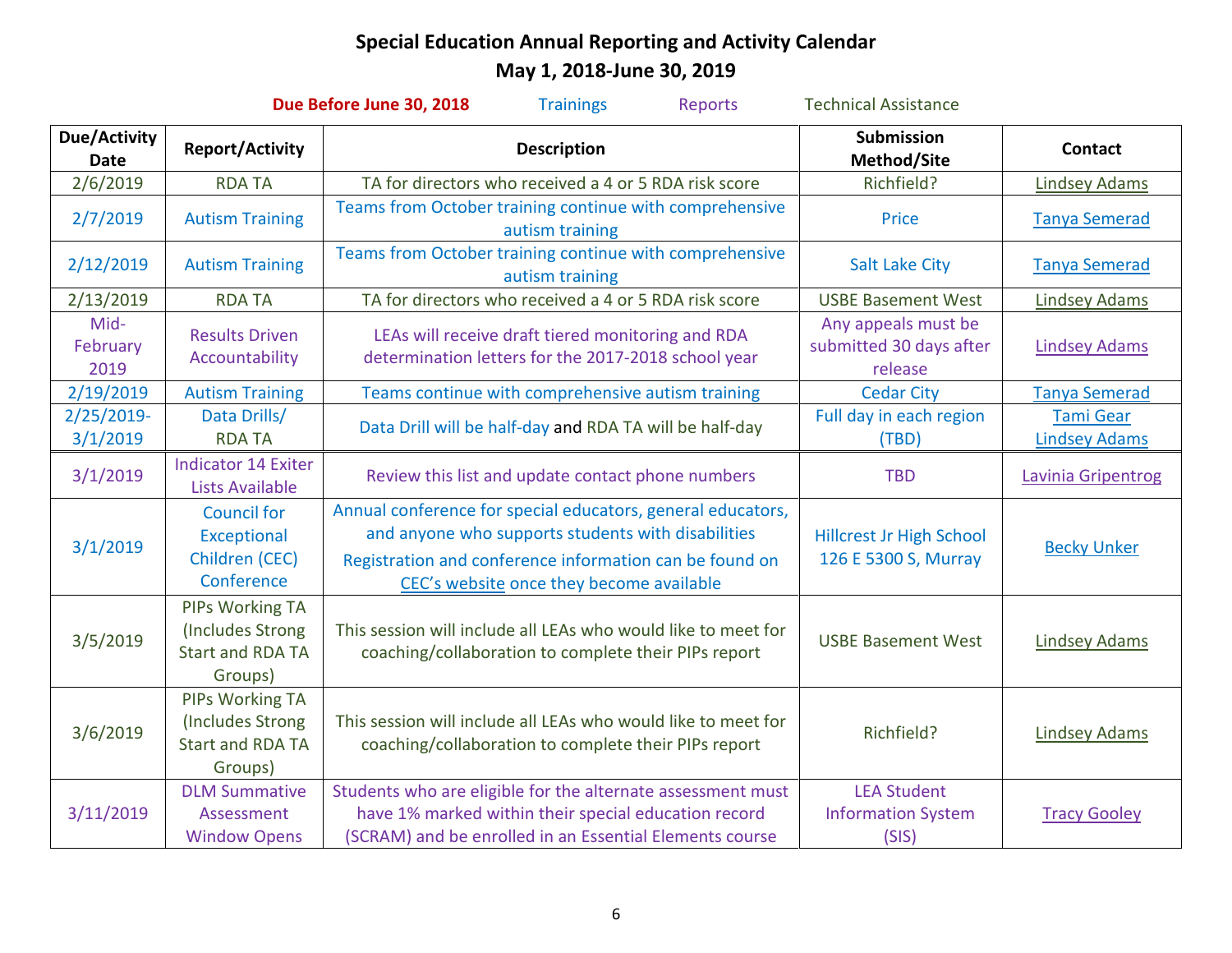| Due Before June 30, 2018<br><b>Technical Assistance</b><br><b>Trainings</b><br>Reports |                                                                           |                                                                                                                                                                                                                          |                                                           |                                          |  |  |
|----------------------------------------------------------------------------------------|---------------------------------------------------------------------------|--------------------------------------------------------------------------------------------------------------------------------------------------------------------------------------------------------------------------|-----------------------------------------------------------|------------------------------------------|--|--|
| Due/Activity<br><b>Date</b>                                                            | <b>Report/Activity</b>                                                    | <b>Description</b>                                                                                                                                                                                                       | <b>Submission</b><br>Method/Site                          | <b>Contact</b>                           |  |  |
| 2/6/2019                                                                               | <b>RDATA</b>                                                              | TA for directors who received a 4 or 5 RDA risk score                                                                                                                                                                    | Richfield?                                                | <b>Lindsey Adams</b>                     |  |  |
| 2/7/2019                                                                               | <b>Autism Training</b>                                                    | Teams from October training continue with comprehensive<br>autism training                                                                                                                                               | Price                                                     | <b>Tanya Semerad</b>                     |  |  |
| 2/12/2019                                                                              | <b>Autism Training</b>                                                    | Teams from October training continue with comprehensive<br>autism training                                                                                                                                               | <b>Salt Lake City</b>                                     | <b>Tanya Semerad</b>                     |  |  |
| 2/13/2019                                                                              | <b>RDA TA</b>                                                             | TA for directors who received a 4 or 5 RDA risk score                                                                                                                                                                    | <b>USBE Basement West</b>                                 | <b>Lindsey Adams</b>                     |  |  |
| Mid-<br>February<br>2019                                                               | <b>Results Driven</b><br>Accountability                                   | LEAs will receive draft tiered monitoring and RDA<br>determination letters for the 2017-2018 school year                                                                                                                 | Any appeals must be<br>submitted 30 days after<br>release | <b>Lindsey Adams</b>                     |  |  |
| 2/19/2019                                                                              | <b>Autism Training</b>                                                    | Teams continue with comprehensive autism training                                                                                                                                                                        | <b>Cedar City</b>                                         | <b>Tanya Semerad</b>                     |  |  |
| 2/25/2019-<br>3/1/2019                                                                 | Data Drills/<br><b>RDA TA</b>                                             | Data Drill will be half-day and RDA TA will be half-day                                                                                                                                                                  | Full day in each region<br>(TBD)                          | <b>Tami Gear</b><br><b>Lindsey Adams</b> |  |  |
| 3/1/2019                                                                               | <b>Indicator 14 Exiter</b><br><b>Lists Available</b>                      | Review this list and update contact phone numbers                                                                                                                                                                        | <b>TBD</b>                                                | Lavinia Gripentrog                       |  |  |
| 3/1/2019                                                                               | <b>Council for</b><br>Exceptional<br>Children (CEC)<br>Conference         | Annual conference for special educators, general educators,<br>and anyone who supports students with disabilities<br>Registration and conference information can be found on<br>CEC's website once they become available | <b>Hillcrest Jr High School</b><br>126 E 5300 S, Murray   | <b>Becky Unker</b>                       |  |  |
| 3/5/2019                                                                               | PIPs Working TA<br>(Includes Strong<br><b>Start and RDA TA</b><br>Groups) | This session will include all LEAs who would like to meet for<br>coaching/collaboration to complete their PIPs report                                                                                                    | <b>USBE Basement West</b>                                 | <b>Lindsey Adams</b>                     |  |  |
| 3/6/2019                                                                               | PIPs Working TA<br>(Includes Strong<br><b>Start and RDA TA</b><br>Groups) | This session will include all LEAs who would like to meet for<br>coaching/collaboration to complete their PIPs report                                                                                                    | Richfield?                                                | <b>Lindsey Adams</b>                     |  |  |
| 3/11/2019                                                                              | <b>DLM Summative</b><br>Assessment<br><b>Window Opens</b>                 | Students who are eligible for the alternate assessment must<br>have 1% marked within their special education record<br>(SCRAM) and be enrolled in an Essential Elements course                                           | <b>LEA Student</b><br><b>Information System</b><br>(SIS)  | <b>Tracy Gooley</b>                      |  |  |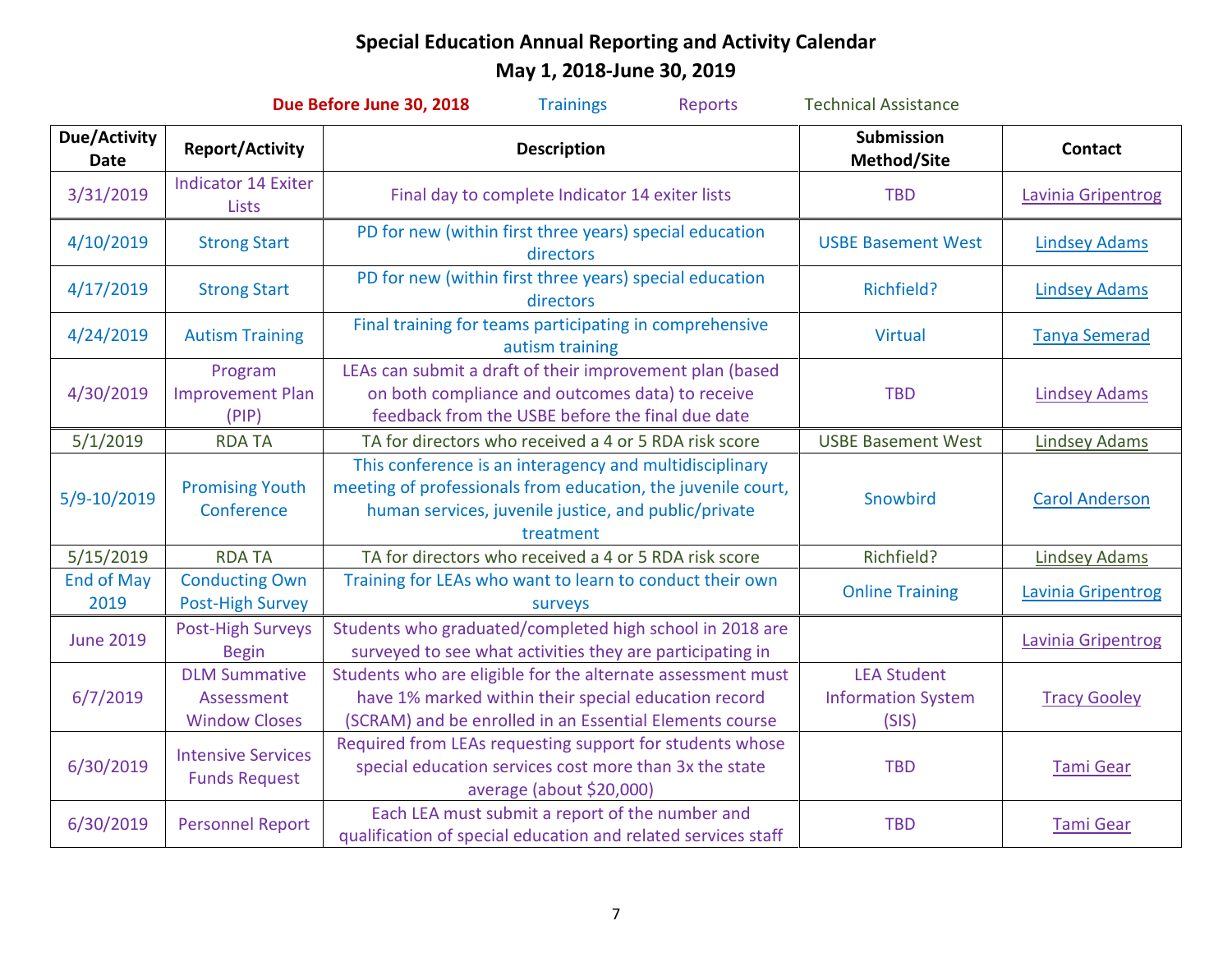| Due Before June 30, 2018<br><b>Trainings</b><br><b>Technical Assistance</b><br><b>Reports</b> |                                                            |                                                                                                                                                                                              |                                                          |                       |  |  |
|-----------------------------------------------------------------------------------------------|------------------------------------------------------------|----------------------------------------------------------------------------------------------------------------------------------------------------------------------------------------------|----------------------------------------------------------|-----------------------|--|--|
| <b>Due/Activity</b><br><b>Date</b>                                                            | <b>Report/Activity</b>                                     | <b>Description</b>                                                                                                                                                                           | <b>Submission</b><br>Method/Site                         | <b>Contact</b>        |  |  |
| 3/31/2019                                                                                     | <b>Indicator 14 Exiter</b><br><b>Lists</b>                 | Final day to complete Indicator 14 exiter lists                                                                                                                                              | <b>TBD</b>                                               | Lavinia Gripentrog    |  |  |
| 4/10/2019                                                                                     | <b>Strong Start</b>                                        | PD for new (within first three years) special education<br>directors                                                                                                                         | <b>USBE Basement West</b>                                | <b>Lindsey Adams</b>  |  |  |
| 4/17/2019                                                                                     | <b>Strong Start</b>                                        | PD for new (within first three years) special education<br>directors                                                                                                                         | Richfield?                                               | <b>Lindsey Adams</b>  |  |  |
| 4/24/2019                                                                                     | <b>Autism Training</b>                                     | Final training for teams participating in comprehensive<br>autism training                                                                                                                   | <b>Virtual</b>                                           | <b>Tanya Semerad</b>  |  |  |
| 4/30/2019                                                                                     | Program<br><b>Improvement Plan</b><br>(PIP)                | LEAs can submit a draft of their improvement plan (based<br>on both compliance and outcomes data) to receive<br>feedback from the USBE before the final due date                             | <b>TBD</b>                                               | <b>Lindsey Adams</b>  |  |  |
| 5/1/2019                                                                                      | <b>RDA TA</b>                                              | TA for directors who received a 4 or 5 RDA risk score                                                                                                                                        | <b>USBE Basement West</b>                                | <b>Lindsey Adams</b>  |  |  |
| 5/9-10/2019                                                                                   | <b>Promising Youth</b><br>Conference                       | This conference is an interagency and multidisciplinary<br>meeting of professionals from education, the juvenile court,<br>human services, juvenile justice, and public/private<br>treatment | Snowbird                                                 | <b>Carol Anderson</b> |  |  |
| 5/15/2019                                                                                     | <b>RDA TA</b>                                              | TA for directors who received a 4 or 5 RDA risk score                                                                                                                                        | Richfield?                                               | <b>Lindsey Adams</b>  |  |  |
| <b>End of May</b><br>2019                                                                     | <b>Conducting Own</b><br><b>Post-High Survey</b>           | Training for LEAs who want to learn to conduct their own<br>surveys                                                                                                                          | <b>Online Training</b>                                   | Lavinia Gripentrog    |  |  |
| <b>June 2019</b>                                                                              | <b>Post-High Surveys</b><br><b>Begin</b>                   | Students who graduated/completed high school in 2018 are<br>surveyed to see what activities they are participating in                                                                        |                                                          | Lavinia Gripentrog    |  |  |
| 6/7/2019                                                                                      | <b>DLM Summative</b><br>Assessment<br><b>Window Closes</b> | Students who are eligible for the alternate assessment must<br>have 1% marked within their special education record<br>(SCRAM) and be enrolled in an Essential Elements course               | <b>LEA Student</b><br><b>Information System</b><br>(SIS) | <b>Tracy Gooley</b>   |  |  |
| 6/30/2019                                                                                     | <b>Intensive Services</b><br><b>Funds Request</b>          | Required from LEAs requesting support for students whose<br>special education services cost more than 3x the state<br>average (about \$20,000)                                               | <b>TBD</b>                                               | <b>Tami Gear</b>      |  |  |
| 6/30/2019                                                                                     | <b>Personnel Report</b>                                    | Each LEA must submit a report of the number and<br>qualification of special education and related services staff                                                                             | <b>TBD</b>                                               | <b>Tami Gear</b>      |  |  |